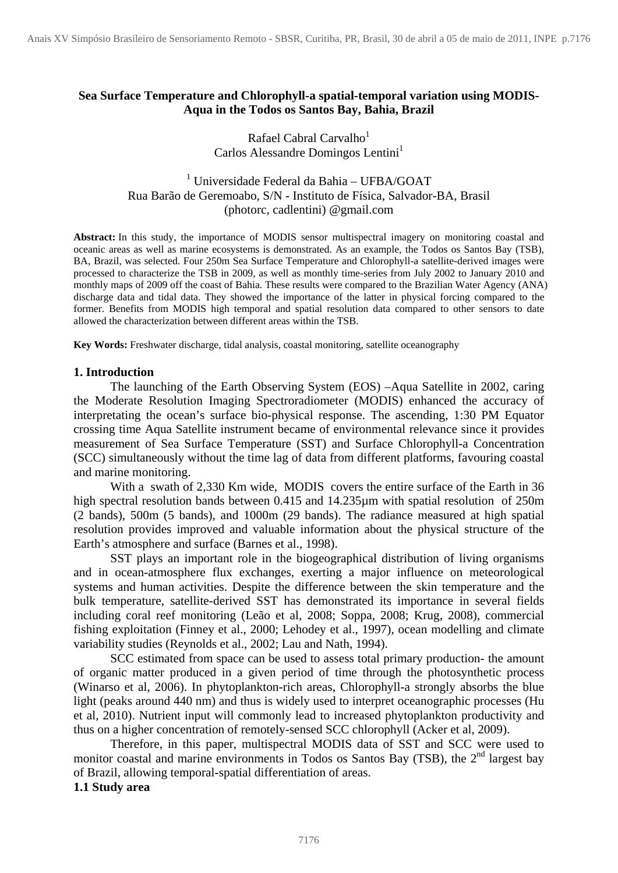## **Sea Surface Temperature and Chlorophyll-a spatial-temporal variation using MODIS-Aqua in the Todos os Santos Bay, Bahia, Brazil**

## Rafael Cabral Carvalho<sup>1</sup> Carlos Alessandre Domingos Lentini<sup>1</sup>

# 1 Universidade Federal da Bahia – UFBA/GOAT Rua Barão de Geremoabo, S/N - Instituto de Física, Salvador-BA, Brasil (photorc, cadlentini) @gmail.com

**Abstract:** In this study, the importance of MODIS sensor multispectral imagery on monitoring coastal and oceanic areas as well as marine ecosystems is demonstrated. As an example, the Todos os Santos Bay (TSB), BA, Brazil, was selected. Four 250m Sea Surface Temperature and Chlorophyll-a satellite-derived images were processed to characterize the TSB in 2009, as well as monthly time-series from July 2002 to January 2010 and monthly maps of 2009 off the coast of Bahia. These results were compared to the Brazilian Water Agency (ANA) discharge data and tidal data. They showed the importance of the latter in physical forcing compared to the former. Benefits from MODIS high temporal and spatial resolution data compared to other sensors to date allowed the characterization between different areas within the TSB.

**Key Words:** Freshwater discharge, tidal analysis, coastal monitoring, satellite oceanography

#### **1. Introduction**

 The launching of the Earth Observing System (EOS) –Aqua Satellite in 2002, caring the Moderate Resolution Imaging Spectroradiometer (MODIS) enhanced the accuracy of interpretating the ocean's surface bio-physical response. The ascending, 1:30 PM Equator crossing time Aqua Satellite instrument became of environmental relevance since it provides measurement of Sea Surface Temperature (SST) and Surface Chlorophyll-a Concentration (SCC) simultaneously without the time lag of data from different platforms, favouring coastal and marine monitoring.

With a swath of 2,330 Km wide, MODIS covers the entire surface of the Earth in 36 high spectral resolution bands between 0.415 and 14.235µm with spatial resolution of 250m (2 bands), 500m (5 bands), and 1000m (29 bands). The radiance measured at high spatial resolution provides improved and valuable information about the physical structure of the Earth's atmosphere and surface (Barnes et al., 1998).

 SST plays an important role in the biogeographical distribution of living organisms and in ocean-atmosphere flux exchanges, exerting a major influence on meteorological systems and human activities. Despite the difference between the skin temperature and the bulk temperature, satellite-derived SST has demonstrated its importance in several fields including coral reef monitoring (Leão et al, 2008; Soppa, 2008; Krug, 2008), commercial fishing exploitation (Finney et al., 2000; Lehodey et al., 1997), ocean modelling and climate variability studies (Reynolds et al., 2002; Lau and Nath, 1994).

SCC estimated from space can be used to assess total primary production- the amount of organic matter produced in a given period of time through the photosynthetic process (Winarso et al, 2006). In phytoplankton-rich areas, Chlorophyll-a strongly absorbs the blue light (peaks around 440 nm) and thus is widely used to interpret oceanographic processes (Hu et al, 2010). Nutrient input will commonly lead to increased phytoplankton productivity and thus on a higher concentration of remotely-sensed SCC chlorophyll (Acker et al, 2009).

 Therefore, in this paper, multispectral MODIS data of SST and SCC were used to monitor coastal and marine environments in Todos os Santos Bay (TSB), the 2<sup>nd</sup> largest bay of Brazil, allowing temporal-spatial differentiation of areas.

## **1.1 Study area**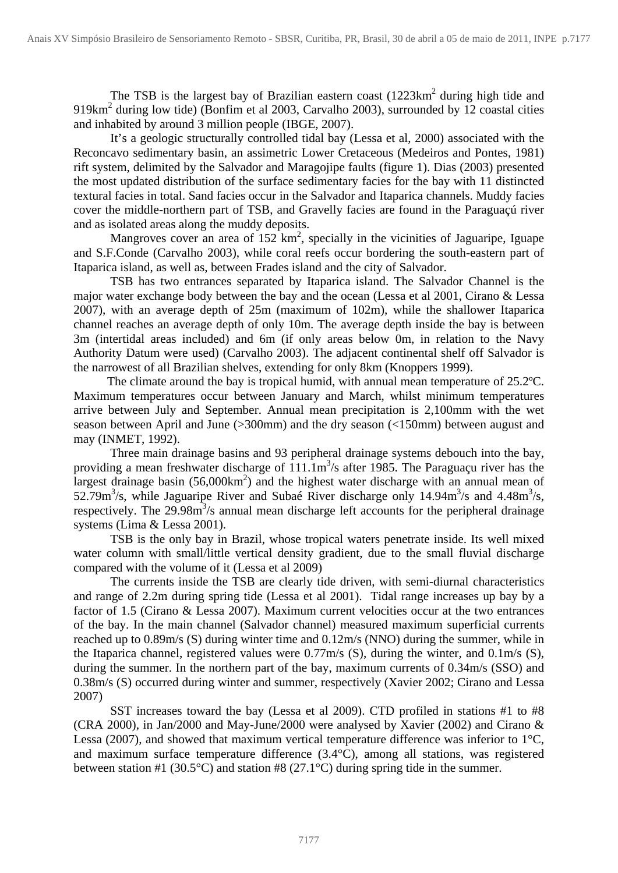The TSB is the largest bay of Brazilian eastern coast  $(1223 \text{km}^2)$  during high tide and 919km<sup>2</sup> during low tide) (Bonfim et al 2003, Carvalho 2003), surrounded by 12 coastal cities and inhabited by around 3 million people (IBGE, 2007).

 It's a geologic structurally controlled tidal bay (Lessa et al, 2000) associated with the Reconcavo sedimentary basin, an assimetric Lower Cretaceous (Medeiros and Pontes, 1981) rift system, delimited by the Salvador and Maragojipe faults (figure 1). Dias (2003) presented the most updated distribution of the surface sedimentary facies for the bay with 11 distincted textural facies in total. Sand facies occur in the Salvador and Itaparica channels. Muddy facies cover the middle-northern part of TSB, and Gravelly facies are found in the Paraguaçú river and as isolated areas along the muddy deposits.

Mangroves cover an area of  $152 \text{ km}^2$ , specially in the vicinities of Jaguaripe, Iguape and S.F.Conde (Carvalho 2003), while coral reefs occur bordering the south-eastern part of Itaparica island, as well as, between Frades island and the city of Salvador.

 TSB has two entrances separated by Itaparica island. The Salvador Channel is the major water exchange body between the bay and the ocean (Lessa et al 2001, Cirano & Lessa 2007), with an average depth of 25m (maximum of 102m), while the shallower Itaparica channel reaches an average depth of only 10m. The average depth inside the bay is between 3m (intertidal areas included) and 6m (if only areas below 0m, in relation to the Navy Authority Datum were used) (Carvalho 2003). The adjacent continental shelf off Salvador is the narrowest of all Brazilian shelves, extending for only 8km (Knoppers 1999).

 The climate around the bay is tropical humid, with annual mean temperature of 25.2ºC. Maximum temperatures occur between January and March, whilst minimum temperatures arrive between July and September. Annual mean precipitation is 2,100mm with the wet season between April and June (>300mm) and the dry season (<150mm) between august and may (INMET, 1992).

 Three main drainage basins and 93 peripheral drainage systems debouch into the bay, providing a mean freshwater discharge of  $111.1 \text{m}^3$ /s after 1985. The Paraguaçu river has the largest drainage basin  $(56,000 \text{km}^2)$  and the highest water discharge with an annual mean of 52.79 $\text{m}^3$ /s, while Jaguaripe River and Subaé River discharge only 14.94 $\text{m}^3$ /s and 4.48 $\text{m}^3$ /s, respectively. The  $29.98m<sup>3</sup>/s$  annual mean discharge left accounts for the peripheral drainage systems (Lima & Lessa 2001).

 TSB is the only bay in Brazil, whose tropical waters penetrate inside. Its well mixed water column with small/little vertical density gradient, due to the small fluvial discharge compared with the volume of it (Lessa et al 2009)

 The currents inside the TSB are clearly tide driven, with semi-diurnal characteristics and range of 2.2m during spring tide (Lessa et al 2001). Tidal range increases up bay by a factor of 1.5 (Cirano & Lessa 2007). Maximum current velocities occur at the two entrances of the bay. In the main channel (Salvador channel) measured maximum superficial currents reached up to 0.89m/s (S) during winter time and 0.12m/s (NNO) during the summer, while in the Itaparica channel, registered values were 0.77m/s (S), during the winter, and 0.1m/s (S), during the summer. In the northern part of the bay, maximum currents of 0.34m/s (SSO) and 0.38m/s (S) occurred during winter and summer, respectively (Xavier 2002; Cirano and Lessa 2007)

 SST increases toward the bay (Lessa et al 2009). CTD profiled in stations #1 to #8 (CRA 2000), in Jan/2000 and May-June/2000 were analysed by Xavier (2002) and Cirano & Lessa (2007), and showed that maximum vertical temperature difference was inferior to 1°C, and maximum surface temperature difference (3.4°C), among all stations, was registered between station #1 (30.5°C) and station #8 (27.1°C) during spring tide in the summer.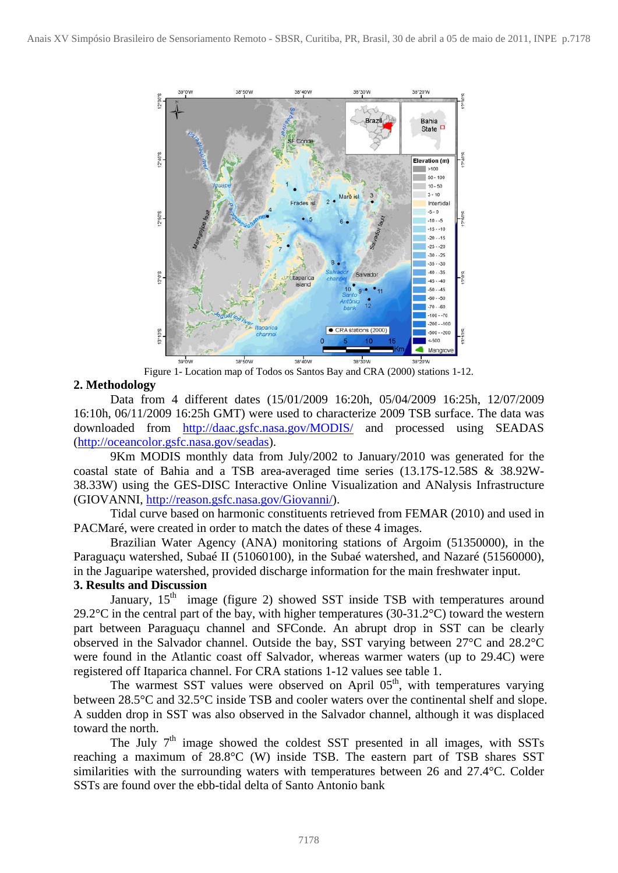

Figure 1- Location map of Todos os Santos Bay and CRA (2000) stations 1-12.

# **2. Methodology**

 Data from 4 different dates (15/01/2009 16:20h, 05/04/2009 16:25h, 12/07/2009 16:10h, 06/11/2009 16:25h GMT) were used to characterize 2009 TSB surface. The data was downloaded from <http://daac.gsfc.nasa.gov/MODIS/>and processed using SEADAS (<http://oceancolor.gsfc.nasa.gov/seadas>).

 9Km MODIS monthly data from July/2002 to January/2010 was generated for the coastal state of Bahia and a TSB area-averaged time series (13.17S-12.58S & 38.92W-38.33W) using the GES-DISC Interactive Online Visualization and ANalysis Infrastructure (GIOVANNI, [http://reason.gsfc.nasa.gov/Giovanni/\)](http://reason.gsfc.nasa.gov/Giovanni/).

 Tidal curve based on harmonic constituents retrieved from FEMAR (2010) and used in PACMaré, were created in order to match the dates of these 4 images.

Brazilian Water Agency (ANA) monitoring stations of Argoim (51350000), in the Paraguaçu watershed, Subaé II (51060100), in the Subaé watershed, and Nazaré (51560000), in the Jaguaripe watershed, provided discharge information for the main freshwater input.

# **3. Results and Discussion**

January,  $15<sup>th</sup>$  image (figure 2) showed SST inside TSB with temperatures around 29.2 $\degree$ C in the central part of the bay, with higher temperatures (30-31.2 $\degree$ C) toward the western part between Paraguaçu channel and SFConde. An abrupt drop in SST can be clearly observed in the Salvador channel. Outside the bay, SST varying between 27°C and 28.2°C were found in the Atlantic coast off Salvador, whereas warmer waters (up to 29.4C) were registered off Itaparica channel. For CRA stations 1-12 values see table 1.

The warmest SST values were observed on April  $0.5<sup>th</sup>$ , with temperatures varying between 28.5°C and 32.5°C inside TSB and cooler waters over the continental shelf and slope. A sudden drop in SST was also observed in the Salvador channel, although it was displaced toward the north.

The July  $7<sup>th</sup>$  image showed the coldest SST presented in all images, with SSTs reaching a maximum of 28.8°C (W) inside TSB. The eastern part of TSB shares SST similarities with the surrounding waters with temperatures between 26 and 27.4°C. Colder SSTs are found over the ebb-tidal delta of Santo Antonio bank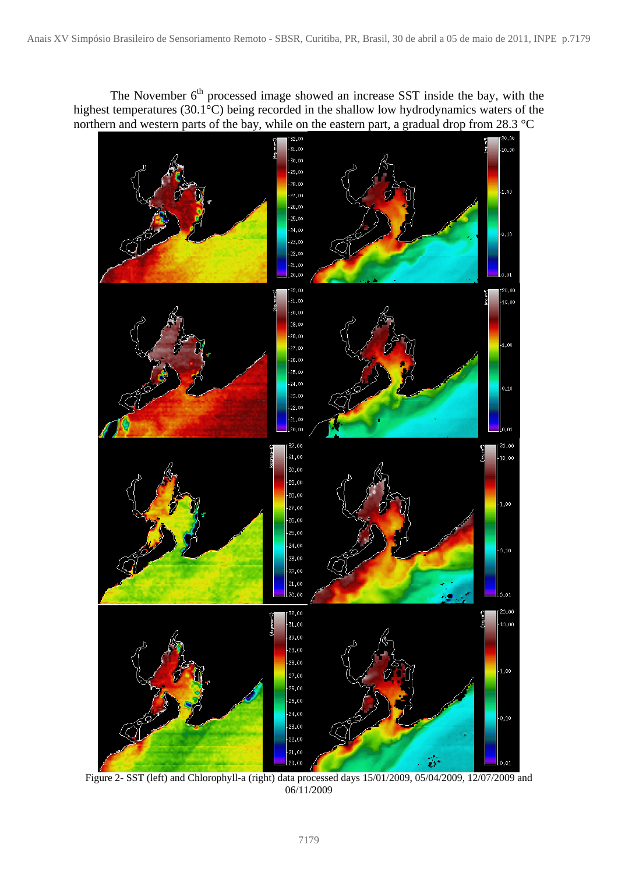The November 6<sup>th</sup> processed image showed an increase SST inside the bay, with the highest temperatures (30.1<sup>°</sup>C) being recorded in the shallow low hydrodynamics waters of the northern and western parts of the bay, while on the eastern part, a gradual drop from 28.3 °C



Figure 2- SST (left) and Chlorophyll-a (right) data processed days 15/01/2009, 05/04/2009, 12/07/2009 and 06/11/2009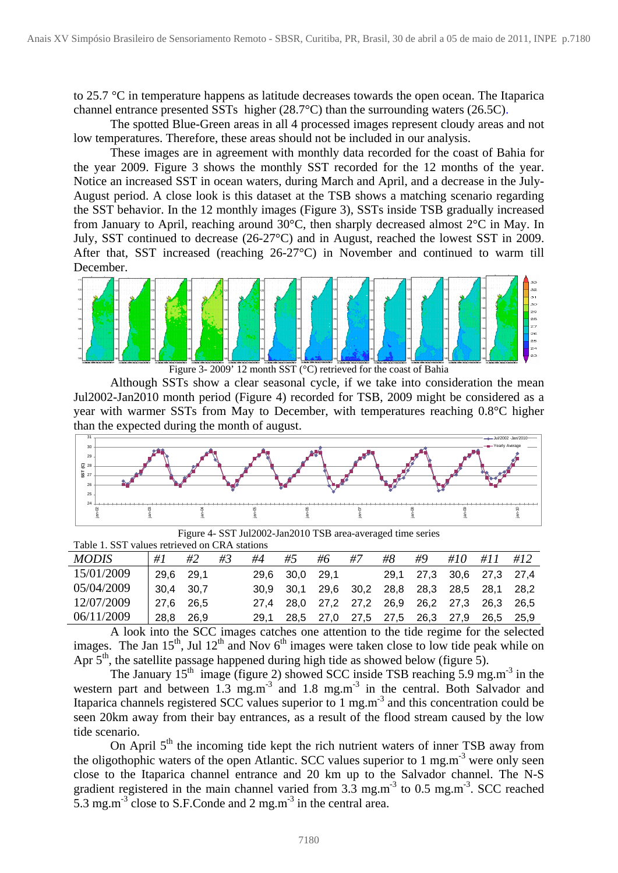to 25.7 °C in temperature happens as latitude decreases towards the open ocean. The Itaparica channel entrance presented SSTs higher (28.7°C) than the surrounding waters (26.5C).

 The spotted Blue-Green areas in all 4 processed images represent cloudy areas and not low temperatures. Therefore, these areas should not be included in our analysis.

 These images are in agreement with monthly data recorded for the coast of Bahia for the year 2009. Figure 3 shows the monthly SST recorded for the 12 months of the year. Notice an increased SST in ocean waters, during March and April, and a decrease in the July-August period. A close look is this dataset at the TSB shows a matching scenario regarding the SST behavior. In the 12 monthly images (Figure 3), SSTs inside TSB gradually increased from January to April, reaching around 30°C, then sharply decreased almost 2°C in May. In July, SST continued to decrease (26-27°C) and in August, reached the lowest SST in 2009. After that, SST increased (reaching 26-27°C) in November and continued to warm till December.



Figure 3- 2009' 12 month SST (°C) retrieved for the coast of Bahia

 Although SSTs show a clear seasonal cycle, if we take into consideration the mean Jul2002-Jan2010 month period (Figure 4) recorded for TSB, 2009 might be considered as a year with warmer SSTs from May to December, with temperatures reaching 0.8°C higher than the expected during the month of august.



Figure 4- SST Jul2002-Jan2010 TSB area-averaged time series

Table 1. SST values retrieved on CRA stations

| <i>MODIS</i> | #1        | #2    | #3 | #4   | #5                                           | #6 | <i>#7</i> | #8 | #9 | #10 #11 #12 |        |
|--------------|-----------|-------|----|------|----------------------------------------------|----|-----------|----|----|-------------|--------|
| 15/01/2009   | 29.6 29.1 |       |    |      | 29,6 30,0 29,1 29,1 27,3 30,6 27,3 27,4      |    |           |    |    |             |        |
| 05/04/2009   | 30,4 30,7 |       |    |      | 30,9 30,1 29,6 30,2 28,8 28,3 28,5 28,1 28,2 |    |           |    |    |             |        |
| 12/07/2009   | 27.6 26.5 |       |    |      | 27,4 28,0 27,2 27,2 26,9 26,2 27,3 26,3      |    |           |    |    |             | - 26.5 |
| 06/11/2009   | 28,8      | -26.9 |    | 29.1 | 28.5 27.0 27.5 27.5 26.3 27.9 26.5 25.9      |    |           |    |    |             |        |

A look into the SCC images catches one attention to the tide regime for the selected images. The Jan  $15<sup>th</sup>$ , Jul  $12<sup>th</sup>$  and Nov 6<sup>th</sup> images were taken close to low tide peak while on Apr  $5<sup>th</sup>$ , the satellite passage happened during high tide as showed below (figure 5).

The January  $15<sup>th</sup>$  image (figure 2) showed SCC inside TSB reaching 5.9 mg.m<sup>-3</sup> in the western part and between  $1.3 \text{ mg.m}^3$  and  $1.8 \text{ mg.m}^3$  in the central. Both Salvador and Itaparica channels registered SCC values superior to 1 mg.m-3 and this concentration could be seen 20km away from their bay entrances, as a result of the flood stream caused by the low tide scenario.

On April  $5<sup>th</sup>$  the incoming tide kept the rich nutrient waters of inner TSB away from the oligothophic waters of the open Atlantic. SCC values superior to 1 mg.m<sup>-3</sup> were only seen close to the Itaparica channel entrance and 20 km up to the Salvador channel. The N-S gradient registered in the main channel varied from  $3.\overline{3}$  mg.m<sup>-3</sup> to  $0.5$  mg.m<sup>-3</sup>. SCC reached 5.3 mg.m<sup>-3</sup> close to S.F.Conde and 2 mg.m<sup>-3</sup> in the central area.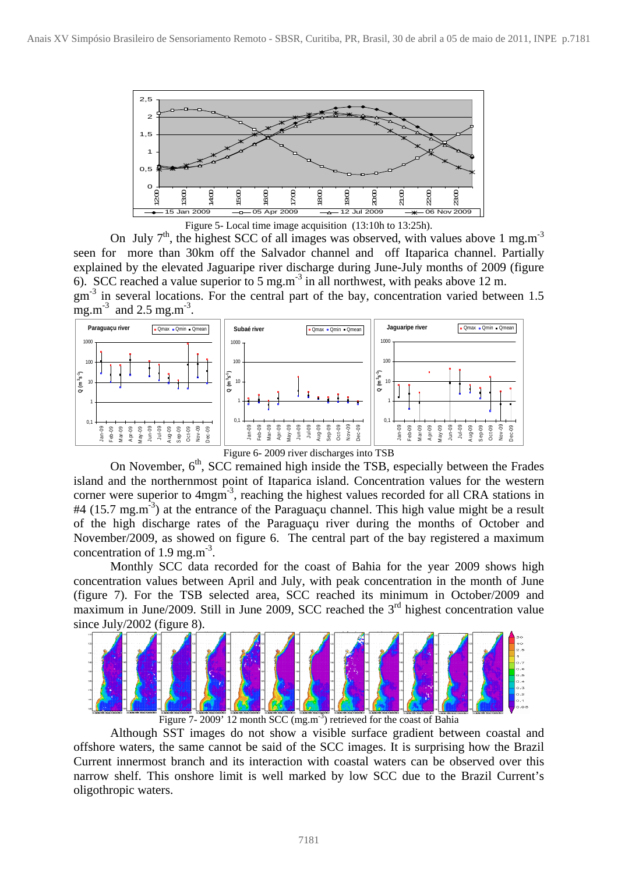

Figure 5- Local time image acquisition (13:10h to 13:25h).

On July  $7<sup>th</sup>$ , the highest SCC of all images was observed, with values above 1 mg.m<sup>-3</sup> seen for more than 30km off the Salvador channel and off Itaparica channel. Partially explained by the elevated Jaguaripe river discharge during June-July months of 2009 (figure 6). SCC reached a value superior to 5 mg.m<sup>-3</sup> in all northwest, with peaks above 12 m.  $gm<sup>-3</sup>$  in several locations. For the central part of the bay, concentration varied between 1.5 mg.m<sup>-3</sup> and  $2.5$  mg.m<sup>-3</sup>.



Figure 6- 2009 river discharges into TSB

On November,  $6<sup>th</sup>$ , SCC remained high inside the TSB, especially between the Frades island and the northernmost point of Itaparica island. Concentration values for the western corner were superior to  $4$ mgm<sup>-3</sup>, reaching the highest values recorded for all CRA stations in  $#4$  (15.7 mg.m<sup>-3</sup>) at the entrance of the Paraguaçu channel. This high value might be a result of the high discharge rates of the Paraguaçu river during the months of October and November/2009, as showed on figure 6. The central part of the bay registered a maximum concentration of  $1.9 \text{ mg.m}^{-3}$ .

 Monthly SCC data recorded for the coast of Bahia for the year 2009 shows high concentration values between April and July, with peak concentration in the month of June (figure 7). For the TSB selected area, SCC reached its minimum in October/2009 and maximum in June/2009. Still in June 2009, SCC reached the  $3<sup>rd</sup>$  highest concentration value since July/2002 (figure 8).



Figure 7- 2009' 12 month SCC (mg.m<sup>-3</sup>) retrieved for the coast of Bahia

Although SST images do not show a visible surface gradient between coastal and offshore waters, the same cannot be said of the SCC images. It is surprising how the Brazil Current innermost branch and its interaction with coastal waters can be observed over this narrow shelf. This onshore limit is well marked by low SCC due to the Brazil Current's oligothropic waters.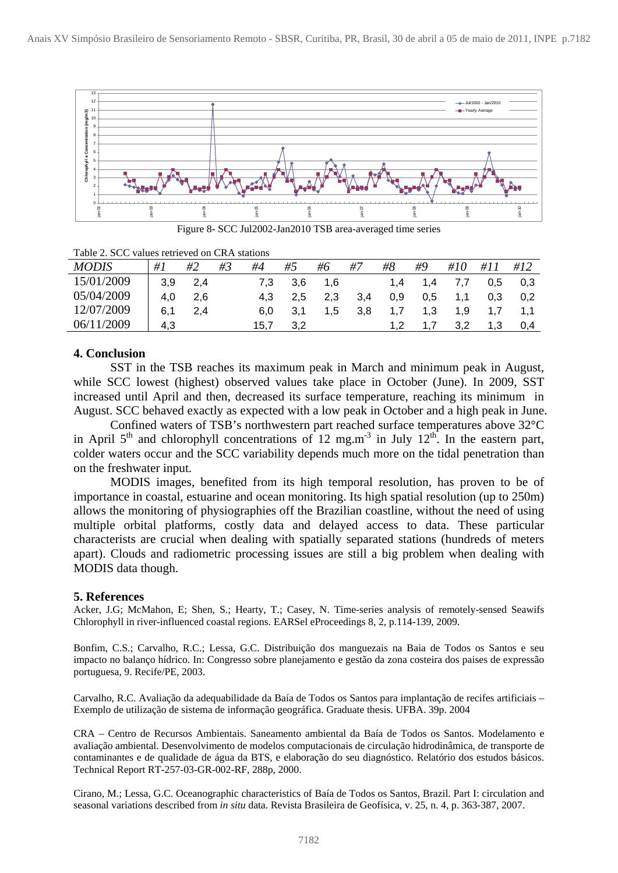

Figure 8- SCC Jul2002-Jan2010 TSB area-averaged time series

Table 2. SCC values retrieved on CRA stations

| <b>MODIS</b> | $\#I$ | #2  | #3 | #4   | #5            | #6     | #7  | #8  | #9  | #10              | #11 | #12 |
|--------------|-------|-----|----|------|---------------|--------|-----|-----|-----|------------------|-----|-----|
| 15/01/2009   | 3.9   | 2.4 |    | 7.3  | 3.6           | $-1,6$ |     | 1.4 | 1,4 | 7.7              | 0.5 | 0,3 |
| 05/04/2009   | 4.0   | 2,6 |    | 4.3  | $2.5^{\circ}$ | 2,3    | 3,4 | 0,9 | 0.5 | 1.1              | 0.3 | 0,2 |
| 12/07/2009   | 6.1   | 2.4 |    | 6.0  | 3.1           | 1,5    | 3.8 | 1,7 | 1,3 | 1.9 <sup>°</sup> | 1.7 | 1.1 |
| 06/11/2009   | 4.3   |     |    | 15.7 | 3.2           |        |     |     |     | 3.2 <sub>2</sub> | 1,3 | 0.4 |

### **4. Conclusion**

SST in the TSB reaches its maximum peak in March and minimum peak in August, while SCC lowest (highest) observed values take place in October (June). In 2009, SST increased until April and then, decreased its surface temperature, reaching its minimum in August. SCC behaved exactly as expected with a low peak in October and a high peak in June.

 Confined waters of TSB's northwestern part reached surface temperatures above 32°C in April  $5<sup>th</sup>$  and chlorophyll concentrations of 12 mg.m<sup>-3</sup> in July 12<sup>th</sup>. In the eastern part, colder waters occur and the SCC variability depends much more on the tidal penetration than on the freshwater input.

MODIS images, benefited from its high temporal resolution, has proven to be of importance in coastal, estuarine and ocean monitoring. Its high spatial resolution (up to 250m) allows the monitoring of physiographies off the Brazilian coastline, without the need of using multiple orbital platforms, costly data and delayed access to data. These particular characterists are crucial when dealing with spatially separated stations (hundreds of meters apart). Clouds and radiometric processing issues are still a big problem when dealing with MODIS data though.

#### **5. References**

Acker, J.G; McMahon, E; Shen, S.; Hearty, T.; Casey, N. Time-series analysis of remotely-sensed Seawifs Chlorophyll in river-influenced coastal regions. EARSel eProceedings 8, 2, p.114-139, 2009.

Bonfim, C.S.; Carvalho, R.C.; Lessa, G.C. Distribuição dos manguezais na Baia de Todos os Santos e seu impacto no balanço hídrico. In: Congresso sobre planejamento e gestão da zona costeira dos paises de expressão portuguesa, 9. Recife/PE, 2003.

Carvalho, R.C. Avaliação da adequabilidade da Baía de Todos os Santos para implantação de recifes artificiais – Exemplo de utilização de sistema de informação geográfica. Graduate thesis. UFBA. 39p. 2004

CRA – Centro de Recursos Ambientais. Saneamento ambiental da Baía de Todos os Santos. Modelamento e avaliação ambiental. Desenvolvimento de modelos computacionais de circulação hidrodinâmica, de transporte de contaminantes e de qualidade de água da BTS, e elaboração do seu diagnóstico. Relatório dos estudos básicos. Technical Report RT-257-03-GR-002-RF, 288p, 2000.

Cirano, M.; Lessa, G.C. Oceanographic characteristics of Baía de Todos os Santos, Brazil. Part I: circulation and seasonal variations described from *in situ* data. Revista Brasileira de Geofísica, v. 25, n. 4, p. 363-387, 2007.